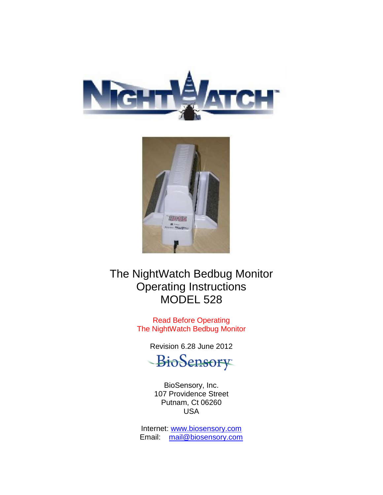



The NightWatch Bedbug Monitor Operating Instructions MODEL 528

> Read Before Operating The NightWatch Bedbug Monitor

> > Revision 6.28 June 2012

BioSensory

BioSensory, Inc. 107 Providence Street Putnam, Ct 06260 USA

Internet: [www.biosensory.com](http://www.biosensory.com/) Email: [mail@biosensory.com](mailto:mail@biosensory.com)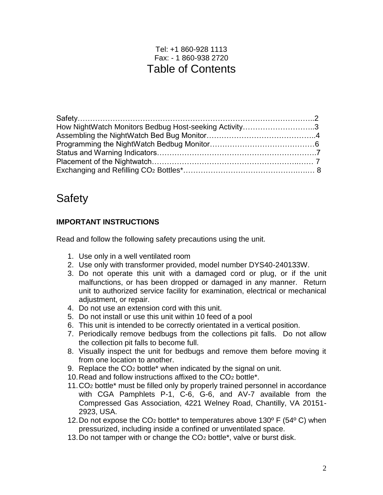## Tel: +1 860-928 1113 Fax: - 1 860-938 2720 Table of Contents

| How NightWatch Monitors Bedbug Host-seeking Activity3 |  |
|-------------------------------------------------------|--|
|                                                       |  |
|                                                       |  |
|                                                       |  |
|                                                       |  |
|                                                       |  |

# **Safety**

#### **IMPORTANT INSTRUCTIONS**

Read and follow the following safety precautions using the unit.

- 1. Use only in a well ventilated room
- 2. Use only with transformer provided, model number DYS40-240133W.
- 3. Do not operate this unit with a damaged cord or plug, or if the unit malfunctions, or has been dropped or damaged in any manner. Return unit to authorized service facility for examination, electrical or mechanical adjustment, or repair.
- 4. Do not use an extension cord with this unit.
- 5. Do not install or use this unit within 10 feed of a pool
- 6. This unit is intended to be correctly orientated in a vertical position.
- 7. Periodically remove bedbugs from the collections pit falls. Do not allow the collection pit falls to become full.
- 8. Visually inspect the unit for bedbugs and remove them before moving it from one location to another.
- 9. Replace the CO<sup>2</sup> bottle\* when indicated by the signal on unit.
- 10.Read and follow instructions affixed to the CO<sup>2</sup> bottle\*.
- 11.CO<sup>2</sup> bottle\* must be filled only by properly trained personnel in accordance with CGA Pamphlets P-1, C-6, G-6, and AV-7 available from the Compressed Gas Association, 4221 Welney Road, Chantilly, VA 20151- 2923, USA.
- 12. Do not expose the  $CO<sub>2</sub>$  bottle<sup>\*</sup> to temperatures above 130 $\degree$  F (54 $\degree$  C) when pressurized, including inside a confined or unventilated space.
- 13.Do not tamper with or change the CO<sup>2</sup> bottle\*, valve or burst disk.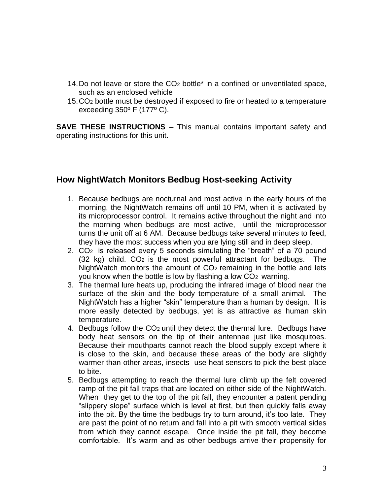- 14.Do not leave or store the CO<sup>2</sup> bottle\* in a confined or unventilated space, such as an enclosed vehicle
- 15.CO<sup>2</sup> bottle must be destroyed if exposed to fire or heated to a temperature exceeding 350º F (177º C).

**SAVE THESE INSTRUCTIONS** – This manual contains important safety and operating instructions for this unit.

### **How NightWatch Monitors Bedbug Host-seeking Activity**

- 1. Because bedbugs are nocturnal and most active in the early hours of the morning, the NightWatch remains off until 10 PM, when it is activated by its microprocessor control. It remains active throughout the night and into the morning when bedbugs are most active, until the microprocessor turns the unit off at 6 AM. Because bedbugs take several minutes to feed, they have the most success when you are lying still and in deep sleep.
- 2. CO<sup>2</sup> is released every 5 seconds simulating the "breath" of a 70 pound  $(32 \text{ kg})$  child.  $CO<sub>2</sub>$  is the most powerful attractant for bedbugs. The NightWatch monitors the amount of CO<sub>2</sub> remaining in the bottle and lets you know when the bottle is low by flashing a low CO<sup>2</sup> warning.
- 3. The thermal lure heats up, producing the infrared image of blood near the surface of the skin and the body temperature of a small animal. The NightWatch has a higher "skin" temperature than a human by design. It is more easily detected by bedbugs, yet is as attractive as human skin temperature.
- 4. Bedbugs follow the CO<sup>2</sup> until they detect the thermal lure. Bedbugs have body heat sensors on the tip of their antennae just like mosquitoes. Because their mouthparts cannot reach the blood supply except where it is close to the skin, and because these areas of the body are slightly warmer than other areas, insects use heat sensors to pick the best place to bite.
- 5. Bedbugs attempting to reach the thermal lure climb up the felt covered ramp of the pit fall traps that are located on either side of the NightWatch. When they get to the top of the pit fall, they encounter a patent pending "slippery slope" surface which is level at first, but then quickly falls away into the pit. By the time the bedbugs try to turn around, it's too late. They are past the point of no return and fall into a pit with smooth vertical sides from which they cannot escape. Once inside the pit fall, they become comfortable. It's warm and as other bedbugs arrive their propensity for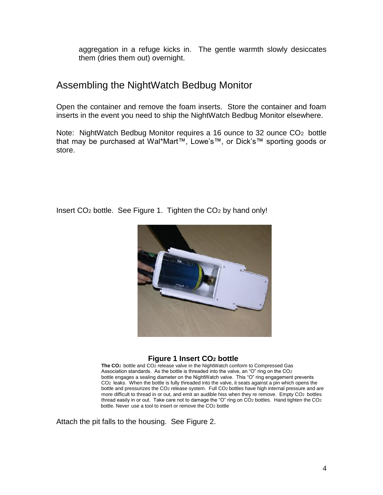aggregation in a refuge kicks in. The gentle warmth slowly desiccates them (dries them out) overnight.

## Assembling the NightWatch Bedbug Monitor

Open the container and remove the foam inserts. Store the container and foam inserts in the event you need to ship the NightWatch Bedbug Monitor elsewhere.

Note: NightWatch Bedbug Monitor requires a 16 ounce to 32 ounce CO<sup>2</sup> bottle that may be purchased at Wal\*Mart™, Lowe's™, or Dick's™ sporting goods or store.

Insert CO<sup>2</sup> bottle. See Figure 1. Tighten the CO<sup>2</sup> by hand only!



#### **Figure 1 Insert CO<sup>2</sup> bottle**

**The CO**2 bottle and CO2 release valve in the NightWatch conform to Compressed Gas Association standards. As the bottle is threaded into the valve, an "O" ring on the CO2 bottle engages a sealing diameter on the NightWatch valve. This "O" ring engagement prevents CO2 leaks. When the bottle is fully threaded into the valve, it seats against a pin which opens the bottle and pressurizes the CO<sub>2</sub> release system. Full CO<sub>2</sub> bottles have high internal pressure and are more difficult to thread in or out, and emit an audible hiss when they re remove. Empty CO2 bottles thread easily in or out. Take care not to damage the "O" ring on CO2 bottles. Hand tighten the CO2 bottle. Never use a tool to insert or remove the CO2 bottle

Attach the pit falls to the housing. See Figure 2.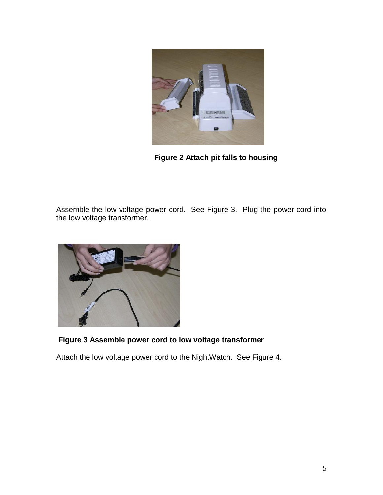

 **Figure 2 Attach pit falls to housing**

Assemble the low voltage power cord. See Figure 3. Plug the power cord into the low voltage transformer.



### **Figure 3 Assemble power cord to low voltage transformer**

Attach the low voltage power cord to the NightWatch. See Figure 4.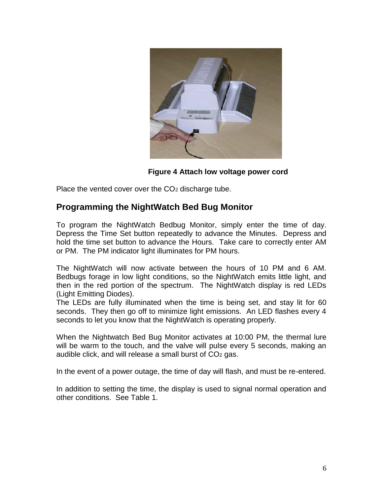

**Figure 4 Attach low voltage power cord**

Place the vented cover over the CO<sub>2</sub> discharge tube.

### **Programming the NightWatch Bed Bug Monitor**

To program the NightWatch Bedbug Monitor, simply enter the time of day. Depress the Time Set button repeatedly to advance the Minutes. Depress and hold the time set button to advance the Hours. Take care to correctly enter AM or PM. The PM indicator light illuminates for PM hours.

The NightWatch will now activate between the hours of 10 PM and 6 AM. Bedbugs forage in low light conditions, so the NightWatch emits little light, and then in the red portion of the spectrum. The NightWatch display is red LEDs (Light Emitting Diodes).

The LEDs are fully illuminated when the time is being set, and stay lit for 60 seconds. They then go off to minimize light emissions. An LED flashes every 4 seconds to let you know that the NightWatch is operating properly.

When the Nightwatch Bed Bug Monitor activates at 10:00 PM, the thermal lure will be warm to the touch, and the valve will pulse every 5 seconds, making an audible click, and will release a small burst of CO<sup>2</sup> gas.

In the event of a power outage, the time of day will flash, and must be re-entered.

In addition to setting the time, the display is used to signal normal operation and other conditions. See Table 1.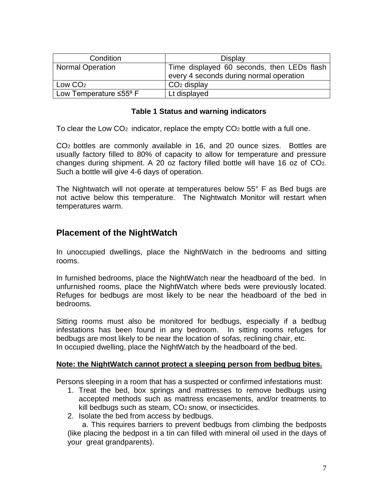| Condition                           | Display                                                                               |
|-------------------------------------|---------------------------------------------------------------------------------------|
| <b>Normal Operation</b>             | Time displayed 60 seconds, then LEDs flash<br>every 4 seconds during normal operation |
| Low CO <sub>2</sub>                 | $CO2$ display                                                                         |
| Low Temperature $\leq 55^{\circ}$ F | Lt displayed                                                                          |

#### **Table 1 Status and warning indicators**

To clear the Low CO<sup>2</sup> indicator, replace the empty CO<sup>2</sup> bottle with a full one.

CO<sup>2</sup> bottles are commonly available in 16, and 20 ounce sizes. Bottles are usually factory filled to 80% of capacity to allow for temperature and pressure changes during shipment. A 20 oz factory filled bottle will have 16 oz of CO2. Such a bottle will give 4-6 days of operation.

The Nightwatch will not operate at temperatures below 55° F as Bed bugs are not active below this temperature. The Nightwatch Monitor will restart when temperatures warm.

### **Placement of the NightWatch**

In unoccupied dwellings, place the NightWatch in the bedrooms and sitting rooms.

In furnished bedrooms, place the NightWatch near the headboard of the bed. In unfurnished rooms, place the NightWatch where beds were previously located. Refuges for bedbugs are most likely to be near the headboard of the bed in bedrooms.

Sitting rooms must also be monitored for bedbugs, especially if a bedbug infestations has been found in any bedroom. In sitting rooms refuges for bedbugs are most likely to be near the location of sofas, reclining chair, etc. In occupied dwelling, place the NightWatch by the headboard of the bed.

#### **Note: the NightWatch cannot protect a sleeping person from bedbug bites.**

Persons sleeping in a room that has a suspected or confirmed infestations must:

- 1. Treat the bed, box springs and mattresses to remove bedbugs using accepted methods such as mattress encasements, and/or treatments to kill bedbugs such as steam, CO<sup>2</sup> snow, or insecticides.
- 2. Isolate the bed from access by bedbugs.

 a. This requires barriers to prevent bedbugs from climbing the bedposts (like placing the bedpost in a tin can filled with mineral oil used in the days of your great grandparents).